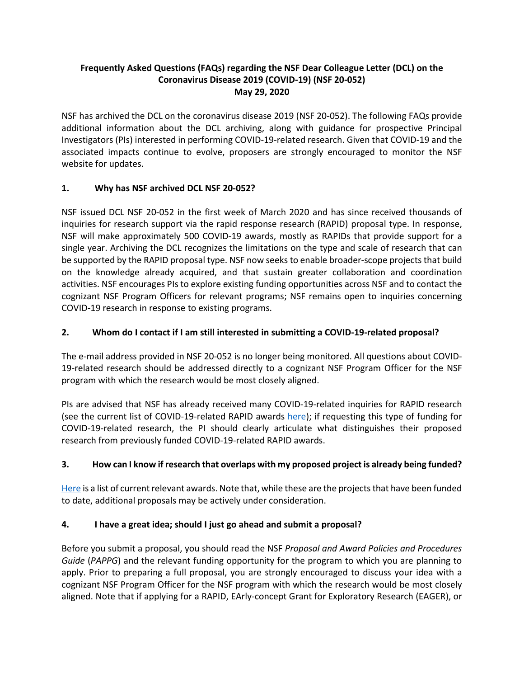#### **Frequently Asked Questions (FAQs) regarding the NSF Dear Colleague Letter (DCL) on the Coronavirus Disease 2019 (COVID-19) (NSF 20-052) May 29, 2020**

NSF has archived the DCL on the coronavirus disease 2019 (NSF 20-052). The following FAQs provide additional information about the DCL archiving, along with guidance for prospective Principal Investigators (PIs) interested in performing COVID-19-related research. Given that COVID-19 and the associated impacts continue to evolve, proposers are strongly encouraged to monitor the NSF website for updates.

## **1. Why has NSF archived DCL NSF 20-052?**

NSF issued DCL NSF 20-052 in the first week of March 2020 and has since received thousands of inquiries for research support via the rapid response research (RAPID) proposal type. In response, NSF will make approximately 500 COVID-19 awards, mostly as RAPIDs that provide support for a single year. Archiving the DCL recognizes the limitations on the type and scale of research that can be supported by the RAPID proposal type. NSF now seeks to enable broader-scope projects that build on the knowledge already acquired, and that sustain greater collaboration and coordination activities. NSF encourages PIs to explore existing funding opportunities across NSF and to contact the cognizant NSF Program Officers for relevant programs; NSF remains open to inquiries concerning COVID-19 research in response to existing programs.

# **2. Whom do I contact if I am still interested in submitting a COVID-19-related proposal?**

The e-mail address provided in NSF 20-052 is no longer being monitored. All questions about COVID-19-related research should be addressed directly to a cognizant NSF Program Officer for the NSF program with which the research would be most closely aligned.

PIs are advised that NSF has already received many COVID-19-related inquiries for RAPID research (see the current list of COVID-19-related RAPID awards [here\)](https://nsf.gov/awardsearch/advancedSearchResult?PIId=&PIFirstName=&PILastName=&PIOrganization=&PIState=&PIZip=&PICountry=&ProgOrganization=&ProgEleCode=&BooleanElement=All&ProgRefCode=7914&BooleanRef=All&Program=&ProgOfficer=&Keyword=covid&AwardNumberOperator=&AwardAmount=&AwardInstrument=&ActiveAwards=true&OriginalAwardDateOperator=&StartDateOperator=&ExpDateOperator=); if requesting this type of funding for COVID-19-related research, the PI should clearly articulate what distinguishes their proposed research from previously funded COVID-19-related RAPID awards.

# **3. How can I know if research that overlaps with my proposed project is already being funded?**

[Here](https://nsf.gov/awardsearch/simpleSearchResult?queryText=covid&ActiveAwards=true) is a list of current relevant awards. Note that, while these are the projects that have been funded to date, additional proposals may be actively under consideration.

## **4. I have a great idea; should I just go ahead and submit a proposal?**

Before you submit a proposal, you should read the NSF *Proposal and Award Policies and Procedures Guide* (*PAPPG*) and the relevant funding opportunity for the program to which you are planning to apply. Prior to preparing a full proposal, you are strongly encouraged to discuss your idea with a cognizant NSF Program Officer for the NSF program with which the research would be most closely aligned. Note that if applying for a RAPID, EArly-concept Grant for Exploratory Research (EAGER), or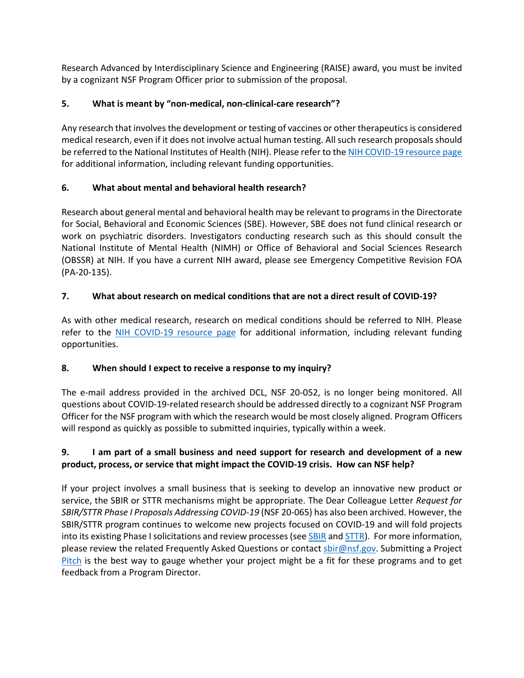Research Advanced by Interdisciplinary Science and Engineering (RAISE) award, you must be invited by a cognizant NSF Program Officer prior to submission of the proposal.

# **5. What is meant by "non-medical, non-clinical-care research"?**

Any research that involves the development or testing of vaccines or other therapeutics is considered medical research, even if it does not involve actual human testing. All such research proposals should be referred to the National Institutes of Health (NIH). Please refer to the [NIH COVID-19 resource page](https://www.nih.gov/health-information/coronavirus) for additional information, including relevant funding opportunities.

# **6. What about mental and behavioral health research?**

Research about general mental and behavioral health may be relevant to programs in the Directorate for Social, Behavioral and Economic Sciences (SBE). However, SBE does not fund clinical research or work on psychiatric disorders. Investigators conducting research such as this should consult the National Institute of Mental Health (NIMH) or Office of Behavioral and Social Sciences Research (OBSSR) at NIH. If you have a current NIH award, please see Emergency Competitive Revision FOA (PA-20-135).

# **7. What about research on medical conditions that are not a direct result of COVID-19?**

As with other medical research, research on medical conditions should be referred to NIH. Please refer to the [NIH COVID-19 resource page](https://www.nih.gov/health-information/coronavirus) for additional information, including relevant funding opportunities.

## **8. When should I expect to receive a response to my inquiry?**

The e-mail address provided in the archived DCL, NSF 20-052, is no longer being monitored. All questions about COVID-19-related research should be addressed directly to a cognizant NSF Program Officer for the NSF program with which the research would be most closely aligned. Program Officers will respond as quickly as possible to submitted inquiries, typically within a week.

# **9. I am part of a small business and need support for research and development of a new product, process, or service that might impact the COVID-19 crisis. How can NSF help?**

If your project involves a small business that is seeking to develop an innovative new product or service, the SBIR or STTR mechanisms might be appropriate. The Dear Colleague Letter *Request for SBIR/STTR Phase I Proposals Addressing COVID-19* (NSF 20-065) has also been archived. However, the SBIR/STTR program continues to welcome new projects focused on COVID-19 and will fold projects into its existing Phase I solicitations and review processes (see **SBIR** and **STTR**). For more information, please review the related Frequently Asked Questions or contact [sbir@nsf.gov.](mailto:sbir@nsf.gov) Submitting a Project [Pitch](https://seedfund.nsf.gov/project-pitch/) is the best way to gauge whether your project might be a fit for these programs and to get feedback from a Program Director.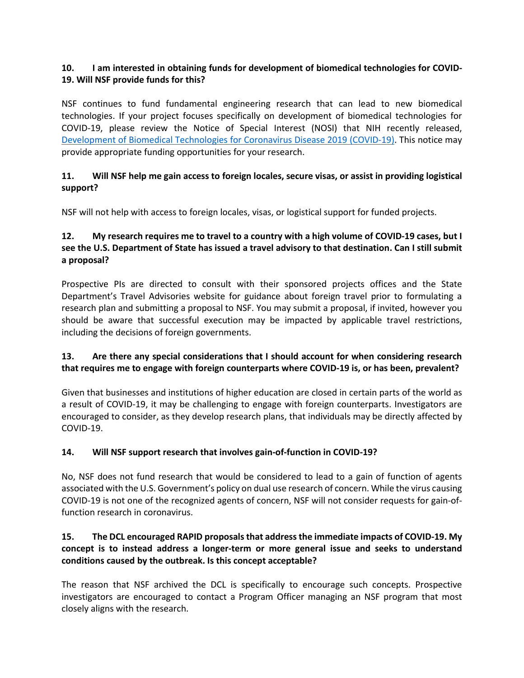#### **10. I am interested in obtaining funds for development of biomedical technologies for COVID-19. Will NSF provide funds for this?**

NSF continues to fund fundamental engineering research that can lead to new biomedical technologies. If your project focuses specifically on development of biomedical technologies for COVID-19, please review the Notice of Special Interest (NOSI) that NIH recently released, [Development of Biomedical Technologies for Coronavirus Disease 2019 \(COVID-19\).](https://grants.nih.gov/grants/guide/notice-files/NOT-EB-20-007.html) This notice may provide appropriate funding opportunities for your research.

#### **11. Will NSF help me gain access to foreign locales, secure visas, or assist in providing logistical support?**

NSF will not help with access to foreign locales, visas, or logistical support for funded projects.

## **12. My research requires me to travel to a country with a high volume of COVID-19 cases, but I see the U.S. Department of State has issued a travel advisory to that destination. Can I still submit a proposal?**

Prospective PIs are directed to consult with their sponsored projects offices and the State Department's Travel Advisories website for guidance about foreign travel prior to formulating a research plan and submitting a proposal to NSF. You may submit a proposal, if invited, however you should be aware that successful execution may be impacted by applicable travel restrictions, including the decisions of foreign governments.

#### **13. Are there any special considerations that I should account for when considering research that requires me to engage with foreign counterparts where COVID-19 is, or has been, prevalent?**

Given that businesses and institutions of higher education are closed in certain parts of the world as a result of COVID-19, it may be challenging to engage with foreign counterparts. Investigators are encouraged to consider, as they develop research plans, that individuals may be directly affected by COVID-19.

## **14. Will NSF support research that involves gain-of-function in COVID-19?**

No, NSF does not fund research that would be considered to lead to a gain of function of agents associated with the U.S. Government's policy on dual use research of concern. While the virus causing COVID-19 is not one of the recognized agents of concern, NSF will not consider requests for gain-offunction research in coronavirus.

#### **15. The DCL encouraged RAPID proposals that address the immediate impacts of COVID-19. My concept is to instead address a longer-term or more general issue and seeks to understand conditions caused by the outbreak. Is this concept acceptable?**

The reason that NSF archived the DCL is specifically to encourage such concepts. Prospective investigators are encouraged to contact a Program Officer managing an NSF program that most closely aligns with the research.